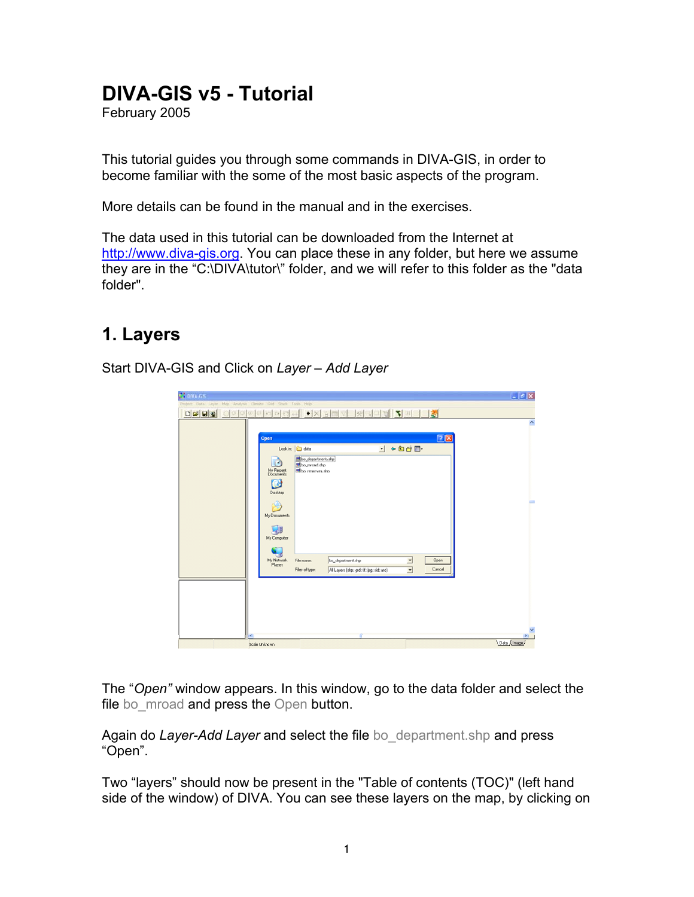## **DIVA-GIS v5 - Tutorial**

February 2005

This tutorial guides you through some commands in DIVA-GIS, in order to become familiar with the some of the most basic aspects of the program.

More details can be found in the manual and in the exercises.

The data used in this tutorial can be downloaded from the Internet at http://www.diva-gis.org. You can place these in any folder, but here we assume they are in the "C:\DIVA\tutor\" folder, and we will refer to this folder as the "data folder".

## **1. Layers**

Start DIVA-GIS and Click on *Layer – Add Layer* 

| <b>CE DIVA GIS</b>                                                                        |                                                                                                                                 | $ \sigma$ $\times$ |
|-------------------------------------------------------------------------------------------|---------------------------------------------------------------------------------------------------------------------------------|--------------------|
| Project Data Layer Map Analysis Clinate Ond Stack Tools Help                              |                                                                                                                                 |                    |
| $D = H$<br>o<br>$\bigcirc$<br>$\overline{(\pi)}$<br>$\sim$<br>께<br>ස<br>$C_{\mathcal{A}}$ | $\bullet$ X A<br><b>KED VEET</b><br>57<br>$\overline{a}$                                                                        |                    |
| Open<br>œ<br>My Recent<br>Documents<br>ß<br>Desktop<br>My Documents<br>My Computer        | 中国首目・<br>Look in: deta<br>$\overline{ }$<br>bo_department.shp<br>to moad sho<br>bo_reserves.shp                                 | ٨<br>2X<br>-       |
| My Network<br>Places                                                                      | File name:<br>bo_department.shp<br>$\overline{\phantom{0}}$<br>Files of type:<br>All Layers (shp; grd; tif; jpg; sid; arc)<br>× | Open<br>Cancel     |
| K.                                                                                        |                                                                                                                                 | $\mathcal{V}$      |
| Scale Unknown                                                                             |                                                                                                                                 | Data / Image       |

The "*Open"* window appears. In this window, go to the data folder and select the file bo mroad and press the Open button.

Again do *Layer-Add Layer* and select the file bo\_department.shp and press "Open".

Two "layers" should now be present in the "Table of contents (TOC)" (left hand side of the window) of DIVA. You can see these layers on the map, by clicking on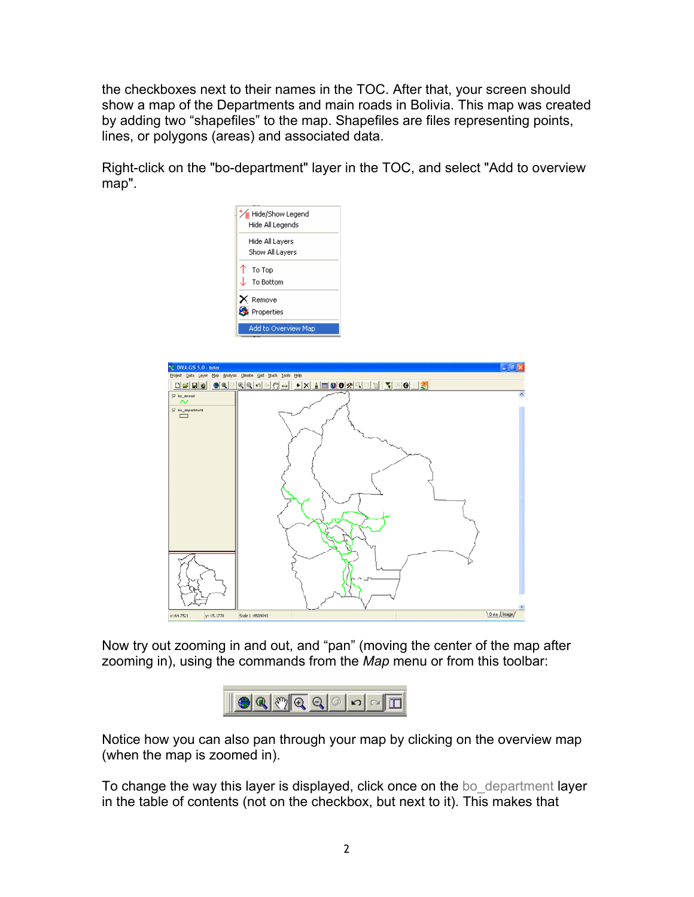the checkboxes next to their names in the TOC. After that, your screen should show a map of the Departments and main roads in Bolivia. This map was created by adding two "shapefiles" to the map. Shapefiles are files representing points, lines, or polygons (areas) and associated data.

Right-click on the "bo-department" layer in the TOC, and select "Add to overview map".



Now try out zooming in and out, and "pan" (moving the center of the map after zooming in), using the commands from the *Map* menu or from this toolbar:



Notice how you can also pan through your map by clicking on the overview map (when the map is zoomed in).

To change the way this layer is displayed, click once on the bo department layer in the table of contents (not on the checkbox, but next to it). This makes that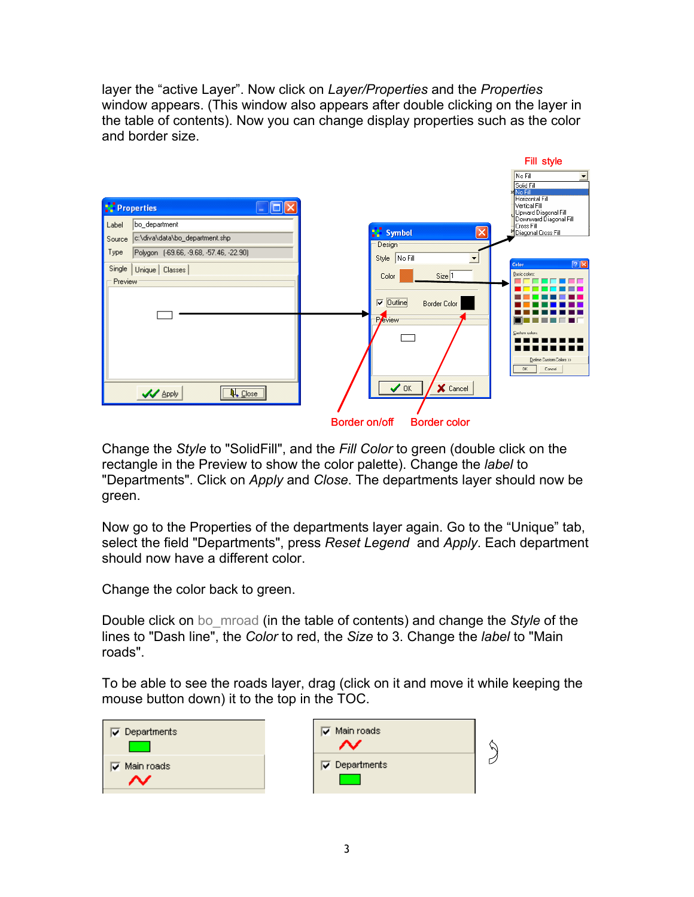layer the "active Layer". Now click on *Layer/Properties* and the *Properties* window appears. (This window also appears after double clicking on the layer in the table of contents). Now you can change display properties such as the color and border size.



Change the *Style* to "SolidFill", and the *Fill Color* to green (double click on the rectangle in the Preview to show the color palette). Change the *label* to "Departments". Click on *Apply* and *Close*. The departments layer should now be green.

Now go to the Properties of the departments layer again. Go to the "Unique" tab, select the field "Departments", press *Reset Legend* and *Apply*. Each department should now have a different color.

Change the color back to green.

Double click on bo\_mroad (in the table of contents) and change the *Style* of the lines to "Dash line", the *Color* to red, the *Size* to 3. Change the *label* to "Main roads".

To be able to see the roads layer, drag (click on it and move it while keeping the mouse button down) it to the top in the TOC.

| Departments<br>M | $\overline{\mathbf{v}}$ Main roads | Μ |
|------------------|------------------------------------|---|
| Main roads<br>☞  | $\nabla$ Departments               |   |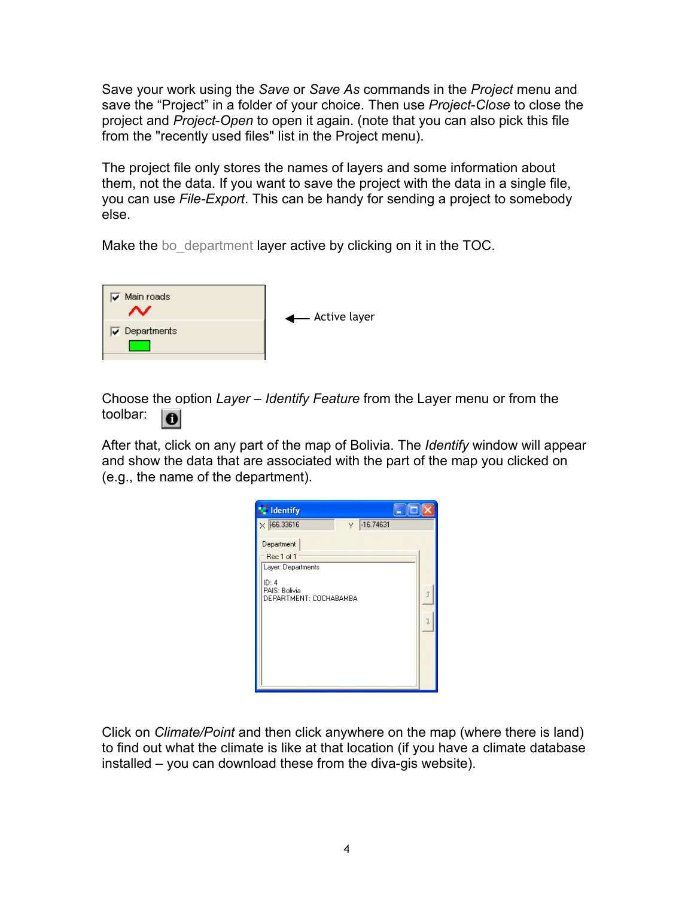Save your work using the *Save* or *Save As* commands in the *Project* menu and save the "Project" in a folder of your choice. Then use *Project*-*Close* to close the project and *Project*-*Open* to open it again. (note that you can also pick this file from the "recently used files" list in the Project menu).

The project file only stores the names of layers and some information about them, not the data. If you want to save the project with the data in a single file, you can use *File-Export*. This can be handy for sending a project to somebody else.

Make the boodepartment layer active by clicking on it in the TOC.



Choose the option *Layer* – *Identify Feature* from the Layer menu or from the toolbar:  $\bullet$ 

After that, click on any part of the map of Bolivia. The *Identify* window will appear and show the data that are associated with the part of the map you clicked on (e.g., the name of the department).

| <b>Sc</b> Identify                                                                                 |  |
|----------------------------------------------------------------------------------------------------|--|
| $\times$ $F66.33616$<br>$-16.74631$<br>Y                                                           |  |
| Department<br>Rec 1 of 1<br>Layer: Departments<br>ID: 4<br>PAIS: Bolivia<br>DEPARTMENT: COCHABAMBA |  |

Click on *Climate/Point* and then click anywhere on the map (where there is land) to find out what the climate is like at that location (if you have a climate database installed – you can download these from the diva-gis website).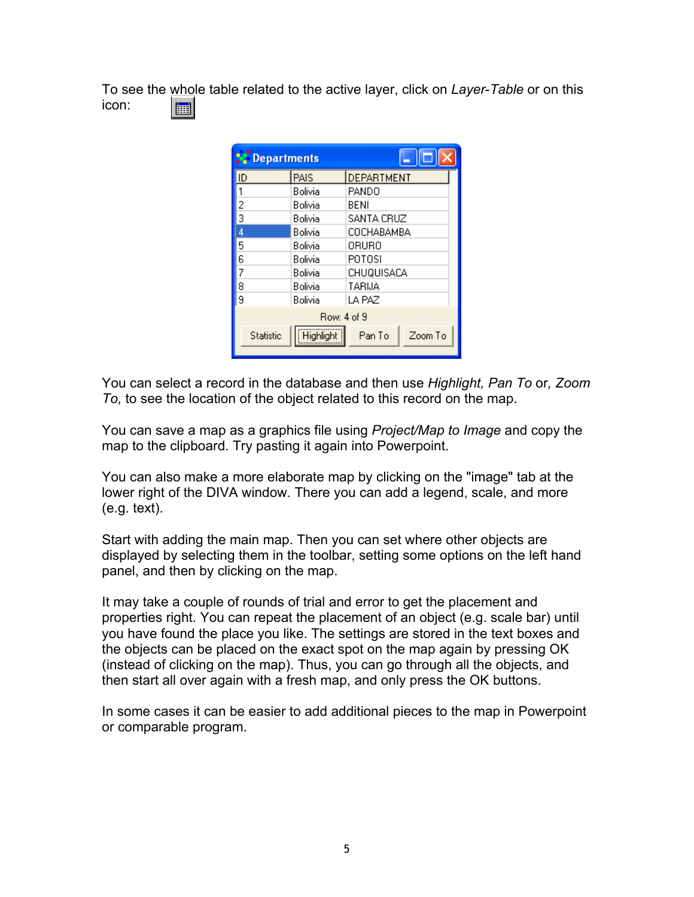To see the whole table related to the active layer, click on *Layer*-*Table* or on this icon: 扁

| <b>Departments</b> |             |                   |
|--------------------|-------------|-------------------|
| ID                 | PAIS        | <b>DEPARTMENT</b> |
|                    | Bolivia     | <b>PANDO</b>      |
| $\overline{c}$     | Bolivia     | BENI              |
| 3                  | Bolivia     | SANTA CRUZ        |
| 4                  | Bolivia     | COCHABAMBA        |
| 5                  | Bolivia     | 0RUR0             |
| 6                  | Bolivia     | POTOSI            |
|                    | Bolivia     | CHUQUISACA        |
| 8                  | Bolivia     | TARIJA            |
| 9                  | Bolivia     | LA PAZ            |
|                    | Row: 4 of 9 |                   |
| <b>Statistic</b>   | Highlight   | Zoom To<br>Pan To |

You can select a record in the database and then use *Highlight, Pan To* or*, Zoom To,* to see the location of the object related to this record on the map.

You can save a map as a graphics file using *Project/Map to Image* and copy the map to the clipboard. Try pasting it again into Powerpoint.

You can also make a more elaborate map by clicking on the "image" tab at the lower right of the DIVA window. There you can add a legend, scale, and more (e.g. text).

Start with adding the main map. Then you can set where other objects are displayed by selecting them in the toolbar, setting some options on the left hand panel, and then by clicking on the map.

It may take a couple of rounds of trial and error to get the placement and properties right. You can repeat the placement of an object (e.g. scale bar) until you have found the place you like. The settings are stored in the text boxes and the objects can be placed on the exact spot on the map again by pressing OK (instead of clicking on the map). Thus, you can go through all the objects, and then start all over again with a fresh map, and only press the OK buttons.

In some cases it can be easier to add additional pieces to the map in Powerpoint or comparable program.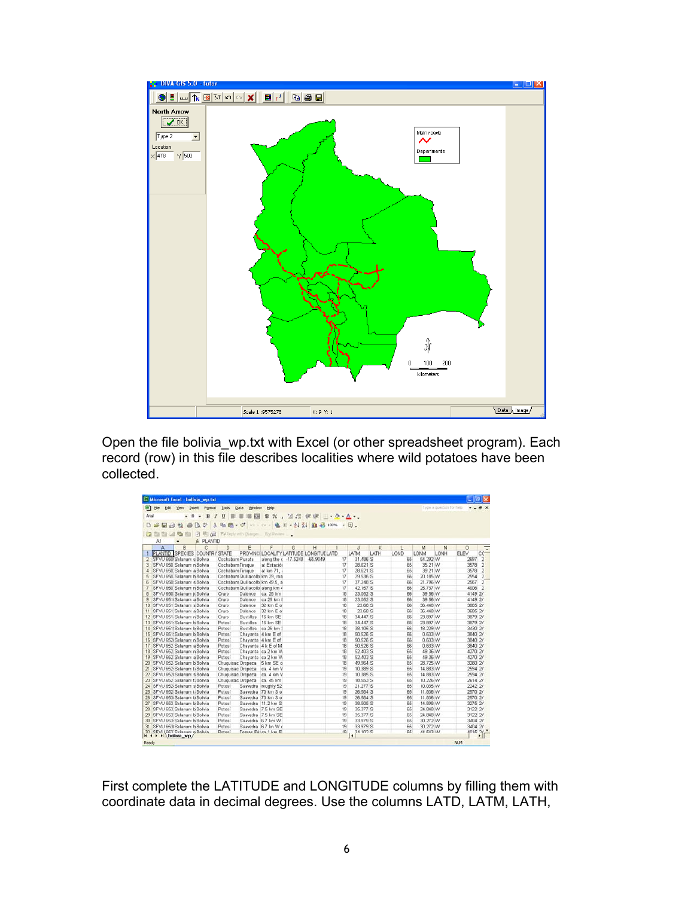

Open the file bolivia wp.txt with Excel (or other spreadsheet program). Each record (row) in this file describes localities where wild potatoes have been collected.

| Microsoft Excel - bolivia wp.txt                        |                  |                       |                                         |   |          |    |              |      |      |          |                          |         | $ \sigma$ $x$            |
|---------------------------------------------------------|------------------|-----------------------|-----------------------------------------|---|----------|----|--------------|------|------|----------|--------------------------|---------|--------------------------|
| <b>Will</b> Ele<br>Edit View<br>Insert Format           | Took             | Window<br><b>Data</b> | Help:                                   |   |          |    |              |      |      |          | Type a question for help |         | $   \in$ $\times$        |
| Arial<br>$+10$<br>B<br>٠                                | U                | 距                     |                                         |   |          |    |              |      |      |          |                          |         |                          |
|                                                         |                  |                       |                                         |   |          |    |              |      |      |          |                          |         |                          |
| $\ddot{v}$<br>日 3 号<br>Γδ.<br>D                         | $\mathbf{x}$     |                       | 取图+ O + D + D + 电 E + 外引 组 另 100% + 团。  |   |          |    |              |      |      |          |                          |         |                          |
| 白色山心<br>$\sqrt{2}$<br>电话                                |                  |                       | "W Reply with Chinges. For Review       |   |          |    |              |      |      |          |                          |         |                          |
| & PLANTID<br>A1                                         |                  |                       |                                         |   |          |    |              |      |      |          |                          |         |                          |
| B<br>c<br>A                                             | D                | E                     | F                                       | G | H        |    | $\mathbf{J}$ | ĸ    |      | M        | N                        | $\circ$ | $\overline{\phantom{a}}$ |
| <b>PLANTID SPECIES COUNTRY STATE</b>                    |                  |                       | PROVINCILOCALITY LATITUDE LONGITUE LATD |   |          |    | LATM         | LATH | LOND | LONM     | LONH                     | ELEV    | $cc-$                    |
| 2 SFVU 650 Solanum s Bolivia                            | Cochabam Punata  |                       | along the c -17.5248                    |   | -65.9049 | 17 | 31,486 S     |      | 65   | 54.292 W |                          | 2697    | $\overline{2}$           |
| SFVU 650 Solanum n Bolivia<br>3                         | Cochabam Tirague |                       | at Estación                             |   |          | 17 | 28.621 S     |      | 65   | 35.21 W  |                          | 3578    | $\overline{2}$           |
| SFVU 650 Solanum a Bolivia<br>$\overline{a}$            | Cochabam Tirague |                       | at km 71.                               |   |          | 17 | 28.621 S     |      | 65   | 39.21 W  |                          | 3578    | $\overline{2}$           |
| SFVU 650 Solanum b Bolivia<br>5                         |                  |                       | Cochabam Quillacollo km 29, roa         |   |          | 17 | 29.536 S     |      | 66   | 20.185 W |                          | 2554    | $\overline{2}$           |
| SFVU 650 Solanum & Bolivia<br>6                         |                  |                       | Cochabam Quillacollo km 49.5, a         |   |          | 17 | 37.248 S     |      | 66   | 21.796 W |                          | 2567    | $\overline{z}$           |
| $\mathcal I$<br>SFVU 650 Solanum n Bolivia              |                  |                       | Cochabam Quillacollo along km 4         |   |          | 17 | 42.157 S     |      | 66   | 26.737 W |                          | 4006    | $\overline{2}$           |
| SFVU 650! Solanum is Bolivia<br>8                       | Oruro            | Dalence               | ca. 25 km                               |   |          | 18 | 23.052 S     |      | 66   | 39.56 W  |                          | 4149 2/ |                          |
| SFVU 651 Solanum a Bolivia<br>9                         | Oruro            | Dalence               | ca 25 km f                              |   |          | 18 | 23.052 S     |      | 66   | 39.56 W  |                          | 4149 2/ |                          |
| 10 SFVU 651 Solanum s Bolivia                           | Oruro            | Dalence               | 32 km E o                               |   |          | 18 | 23.68 S      |      | 66   | 36.448 W |                          | 3865 2/ |                          |
| 11 SFVU 651 Solanum a Bolivia                           | Oruro            | Dalence               | 32 km E o                               |   |          | 18 | 23.68 S      |      | 66   | 36.448 W |                          |         | 3685 2/                  |
| 12 SFVU 651 Solanum n Bolivia                           | Oruro            | <b>Bustillos</b>      | 16 km SE                                |   |          | 18 | 34.447 S     |      | 66   | 23.897 W |                          |         | 3879 2/                  |
| 13 SFVU 651: Solanum b Bolivia                          | Potosi           | <b>Bustillos</b>      | 16 km SE                                |   |          | 18 | 34.447 S     |      | 66   | 23.897 W |                          | 3879 2/ |                          |
| 14 SFVU 651 Solanum b Bolivia                           | Potosi           | <b>Bustillos</b>      | ca 26 km                                |   |          | 18 | 38.106 S     |      | 66   | 18.229 W |                          | 3430 2/ |                          |
| 15 SFVU 651 Solanum b Bolivia                           | Potosi           | Chayanta 4 km E of    |                                         |   |          | 18 | 50,526 S     |      | 66   | 0.633 W  |                          | 3840 2/ |                          |
| 16 SFVU 652 Solanum n Bolivia                           | Potosí           | Chayanta 4 km E of    |                                         |   |          | 18 | 50.526 S     |      | 66   | 0.633 W  |                          | 3840 2/ |                          |
| 17 SFVU 652 Solanum a Bolivia                           | Potosi           |                       | Chayanta 4 k E of M                     |   |          | 18 | 50.526 S     |      | 66   | 0.633 W  |                          |         | 3840 2/                  |
| 18 SFVU 652 Solanum n Bolivia                           | Potosi           |                       | Chayanta ca 2 km W                      |   |          | 18 | 52.403 S     |      | 65   | 49.36 W  |                          |         | 4270 2/                  |
| 19 SFVU 652 Solanum a Bolivia                           | Potosi           |                       | Chavanta ca 2 km W                      |   |          | 18 | 52.403 S     |      | 65   | 49.36 W  |                          | 4270 2/ |                          |
| 20 SFVU 652 Solanum b Bolivia                           |                  |                       | Chuquisac Oropeza 5 km SE o             |   |          | 18 | 49.964 S     |      | 65   | 28.725 W |                          | 3260 2/ |                          |
| 21 SFVU 652 Solanum ti Bolivia                          |                  |                       | Chuquisac Oropeza ca 4 km V             |   |          | 19 | 10.389 S     |      | 65   | 14.883 W |                          | 2594 2/ |                          |
| 22 SFVU 652 Solanum s Bolvia                            |                  | Chuquisac Oropeza     | ca 4 km V                               |   |          | 19 | 10.385 S     |      | 65   | 14.883 W |                          | 2594 21 |                          |
| 23 SEVU 652 Solanum t: Bolivia                          |                  | Chuquisac Oropeza     | ca. 45 km                               |   |          | 19 | 18 553 S     |      | 65   | 10.226 W |                          |         | 2614 2/                  |
| 24 SFVU 652 Solanum s Bolivia                           | Potosi           |                       | Saavedra roughly 52                     |   |          | 19 | 21.277 S     |      | 65   | 10.035 W |                          | 2242 2/ |                          |
| 25 SFVU 652 Solanum ti Bolivia                          | Potosí           |                       | Saavedra 70 km S o                      |   |          | 19 | 26.584 S     |      | 65   | 11.836 W |                          |         | 2570 2/                  |
| 26 SFVU 653 Solanum b Bolivia                           | Potosí           |                       | Saavedra 70 km S o                      |   |          | 19 | 26.584 S     |      | 66   | 11.836 W |                          | 2570 2/ |                          |
| 27 SFVU 653 Solanum b Bolivia                           | Potosi           |                       | Saavedra 11.2 km S                      |   |          | 19 | 38,505 S     |      | 65   | 14,898 W |                          | 3275 2/ |                          |
| 28 SFVU 653 Solanum b Bolivia                           | Potosí           |                       | Saavedra 7.5 km SE                      |   |          | 19 | 35.377 S     |      | 65   | 24.848 W |                          | 31222   |                          |
| 29 SFVU 653 Solanum b Bolivia                           | Potosí           |                       | Saavedra 7.5 km SE                      |   |          | 19 | 35.377 S     |      | 65   | 24.848 W |                          | 3122 2/ |                          |
| 30 SFVU 653 Solanum b Bolivia                           | Potosi           |                       | Saavedra 6.7 km W                       |   |          | 19 | 33.979 S     |      | 65   | 30.272 W |                          |         | 3404 2/                  |
| 31 SFVU 653 Solanum b Bolwa                             | Potosi           |                       | Saavedra 6.7 kn W o                     |   |          | 19 | 33.979 S     |      | 65   | 30.272 W |                          | 3404 2/ |                          |
| 37 SFM LEST Colonism o Rollvia<br>It t > > N bolivia wp | Deteci           |                       | Tomas Frican 1 km F                     |   |          | 10 | 2.102C<br>×  |      | CE.  | AA EAR W |                          |         | $\int$                   |
| Ready                                                   |                  |                       |                                         |   |          |    |              |      |      |          |                          | 14.84   |                          |

First complete the LATITUDE and LONGITUDE columns by filling them with coordinate data in decimal degrees. Use the columns LATD, LATM, LATH,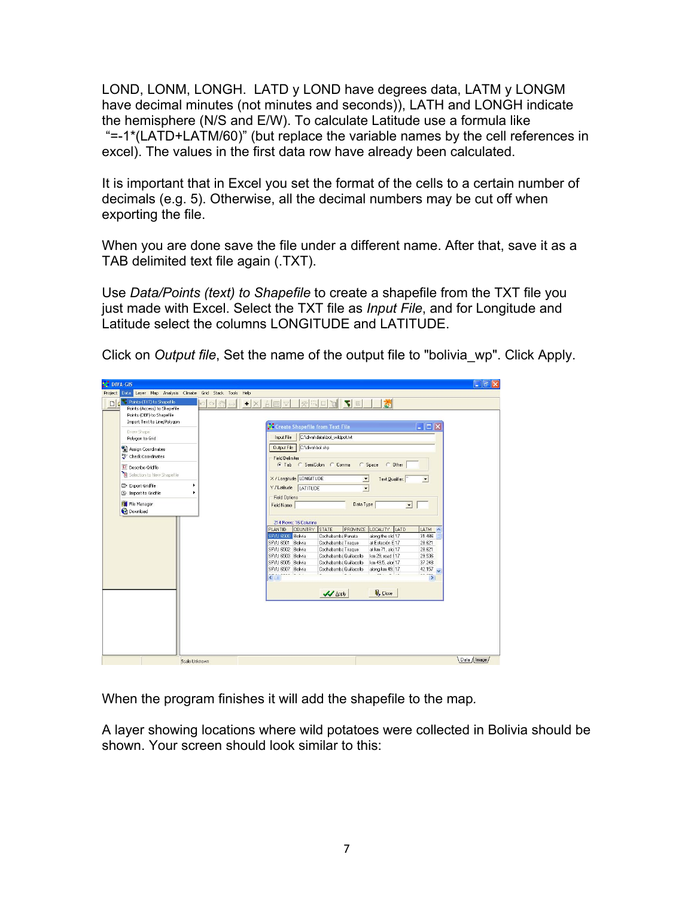LOND, LONM, LONGH. LATD y LOND have degrees data, LATM y LONGM have decimal minutes (not minutes and seconds)), LATH and LONGH indicate the hemisphere (N/S and E/W). To calculate Latitude use a formula like "=-1\*(LATD+LATM/60)" (but replace the variable names by the cell references in excel). The values in the first data row have already been calculated.

It is important that in Excel you set the format of the cells to a certain number of decimals (e.g. 5). Otherwise, all the decimal numbers may be cut off when exporting the file.

When you are done save the file under a different name. After that, save it as a TAB delimited text file again (.TXT).

Use *Data/Points (text) to Shapefile* to create a shapefile from the TXT file you just made with Excel. Select the TXT file as *Input File*, and for Longitude and Latitude select the columns LONGITUDE and LATITUDE.

| Points (TXT) to Shapefile<br>D q<br>$\blacktriangledown$<br>채<br>$\mathcal{E}^{\text{th}}$<br>$\Delta$<br>癸<br>田<br>ū<br>k.<br>$\Box$<br>$\triangledown$<br>□<br>٠<br>fff<br>Points (Access) to Shapefile<br>Points (DBF) to Shapefile<br>Import Text to Line/Polygon<br>Create Shapefile from Text File<br>$   E  \times$<br>Draw Shape<br>C:\diva\data\bol wildpot.txt<br>Input File<br>Polygon to Grid<br>C:\diva\bol.shp<br>Output File<br>and Assign Coordinates<br>Ty Check Coordinates<br>Field Delimiter<br>G Tab C SemiColon C Comma<br>$C$ Space<br>C Other<br>DE Describe Gridfle<br>S Selection to New Shapefile<br>X / Longitude LONGITUDE<br>Text Qualifier:<br>$\blacksquare$<br>$\overline{\phantom{a}}$<br>Export Gridfile<br>٠<br>Y / Latitude<br>LATITUDE<br>$\overline{\phantom{a}}$<br>G Import to Gridfile<br>٠<br><b>Field Options</b><br>File Manager<br>Data Type<br>Field Name<br>$\vert$<br><b>O</b> Download<br>214 Rows: 16 Columns<br>COUNTRY STATE<br>PROVINCE LOCALITY LATD<br><b>PLANTID</b><br>LATM A<br>SPVU 6500 Bolivia<br>31.486<br>Cochabamba Punata<br>along the old 17<br>SFVU 6501 Bolivia<br>Cochabamba Tiraque<br>at Estación E 17<br>28.621<br>SFVU 6502 Bolivia<br>Cochabamba Tiraque<br>at km 71, alo 17<br>28.621<br>SFVU 6503 Bolivia<br>Cochabamba Quillacollo<br>km 29, road f 17<br>29.536<br>37,248<br>SFVU 6505 Bolivia<br>Cochabamba Quillacollo<br>km 49.5, alor 17<br>SFVU 6507 Bolivia<br>Cochabamba Quillacollo<br>42.157 $\sqrt{ }$<br>along km 49. 17<br><br>$\left\langle \cdot \right\rangle$<br>$\,$<br><b>Q</b> <sub>+</sub> Close<br><b>VV</b> Apply | <b>NE DIVA-GIS</b><br>Data Layer Map Analysis Climate Grid Stack Tools<br>Project | Help |  | $\Box$ la     |
|------------------------------------------------------------------------------------------------------------------------------------------------------------------------------------------------------------------------------------------------------------------------------------------------------------------------------------------------------------------------------------------------------------------------------------------------------------------------------------------------------------------------------------------------------------------------------------------------------------------------------------------------------------------------------------------------------------------------------------------------------------------------------------------------------------------------------------------------------------------------------------------------------------------------------------------------------------------------------------------------------------------------------------------------------------------------------------------------------------------------------------------------------------------------------------------------------------------------------------------------------------------------------------------------------------------------------------------------------------------------------------------------------------------------------------------------------------------------------------------------------------------------------------------------------------------------------------------------------------------------|-----------------------------------------------------------------------------------|------|--|---------------|
|                                                                                                                                                                                                                                                                                                                                                                                                                                                                                                                                                                                                                                                                                                                                                                                                                                                                                                                                                                                                                                                                                                                                                                                                                                                                                                                                                                                                                                                                                                                                                                                                                        |                                                                                   |      |  |               |
|                                                                                                                                                                                                                                                                                                                                                                                                                                                                                                                                                                                                                                                                                                                                                                                                                                                                                                                                                                                                                                                                                                                                                                                                                                                                                                                                                                                                                                                                                                                                                                                                                        |                                                                                   |      |  |               |
|                                                                                                                                                                                                                                                                                                                                                                                                                                                                                                                                                                                                                                                                                                                                                                                                                                                                                                                                                                                                                                                                                                                                                                                                                                                                                                                                                                                                                                                                                                                                                                                                                        |                                                                                   |      |  |               |
|                                                                                                                                                                                                                                                                                                                                                                                                                                                                                                                                                                                                                                                                                                                                                                                                                                                                                                                                                                                                                                                                                                                                                                                                                                                                                                                                                                                                                                                                                                                                                                                                                        |                                                                                   |      |  |               |
|                                                                                                                                                                                                                                                                                                                                                                                                                                                                                                                                                                                                                                                                                                                                                                                                                                                                                                                                                                                                                                                                                                                                                                                                                                                                                                                                                                                                                                                                                                                                                                                                                        |                                                                                   |      |  |               |
|                                                                                                                                                                                                                                                                                                                                                                                                                                                                                                                                                                                                                                                                                                                                                                                                                                                                                                                                                                                                                                                                                                                                                                                                                                                                                                                                                                                                                                                                                                                                                                                                                        |                                                                                   |      |  |               |
|                                                                                                                                                                                                                                                                                                                                                                                                                                                                                                                                                                                                                                                                                                                                                                                                                                                                                                                                                                                                                                                                                                                                                                                                                                                                                                                                                                                                                                                                                                                                                                                                                        |                                                                                   |      |  |               |
|                                                                                                                                                                                                                                                                                                                                                                                                                                                                                                                                                                                                                                                                                                                                                                                                                                                                                                                                                                                                                                                                                                                                                                                                                                                                                                                                                                                                                                                                                                                                                                                                                        |                                                                                   |      |  |               |
|                                                                                                                                                                                                                                                                                                                                                                                                                                                                                                                                                                                                                                                                                                                                                                                                                                                                                                                                                                                                                                                                                                                                                                                                                                                                                                                                                                                                                                                                                                                                                                                                                        |                                                                                   |      |  |               |
|                                                                                                                                                                                                                                                                                                                                                                                                                                                                                                                                                                                                                                                                                                                                                                                                                                                                                                                                                                                                                                                                                                                                                                                                                                                                                                                                                                                                                                                                                                                                                                                                                        |                                                                                   |      |  |               |
|                                                                                                                                                                                                                                                                                                                                                                                                                                                                                                                                                                                                                                                                                                                                                                                                                                                                                                                                                                                                                                                                                                                                                                                                                                                                                                                                                                                                                                                                                                                                                                                                                        |                                                                                   |      |  |               |
|                                                                                                                                                                                                                                                                                                                                                                                                                                                                                                                                                                                                                                                                                                                                                                                                                                                                                                                                                                                                                                                                                                                                                                                                                                                                                                                                                                                                                                                                                                                                                                                                                        |                                                                                   |      |  |               |
|                                                                                                                                                                                                                                                                                                                                                                                                                                                                                                                                                                                                                                                                                                                                                                                                                                                                                                                                                                                                                                                                                                                                                                                                                                                                                                                                                                                                                                                                                                                                                                                                                        |                                                                                   |      |  |               |
|                                                                                                                                                                                                                                                                                                                                                                                                                                                                                                                                                                                                                                                                                                                                                                                                                                                                                                                                                                                                                                                                                                                                                                                                                                                                                                                                                                                                                                                                                                                                                                                                                        |                                                                                   |      |  |               |
|                                                                                                                                                                                                                                                                                                                                                                                                                                                                                                                                                                                                                                                                                                                                                                                                                                                                                                                                                                                                                                                                                                                                                                                                                                                                                                                                                                                                                                                                                                                                                                                                                        |                                                                                   |      |  |               |
|                                                                                                                                                                                                                                                                                                                                                                                                                                                                                                                                                                                                                                                                                                                                                                                                                                                                                                                                                                                                                                                                                                                                                                                                                                                                                                                                                                                                                                                                                                                                                                                                                        |                                                                                   |      |  |               |
|                                                                                                                                                                                                                                                                                                                                                                                                                                                                                                                                                                                                                                                                                                                                                                                                                                                                                                                                                                                                                                                                                                                                                                                                                                                                                                                                                                                                                                                                                                                                                                                                                        |                                                                                   |      |  |               |
|                                                                                                                                                                                                                                                                                                                                                                                                                                                                                                                                                                                                                                                                                                                                                                                                                                                                                                                                                                                                                                                                                                                                                                                                                                                                                                                                                                                                                                                                                                                                                                                                                        |                                                                                   |      |  |               |
|                                                                                                                                                                                                                                                                                                                                                                                                                                                                                                                                                                                                                                                                                                                                                                                                                                                                                                                                                                                                                                                                                                                                                                                                                                                                                                                                                                                                                                                                                                                                                                                                                        |                                                                                   |      |  | Data / Image/ |

Click on *Output file*, Set the name of the output file to "bolivia\_wp". Click Apply.

When the program finishes it will add the shapefile to the map*.*

A layer showing locations where wild potatoes were collected in Bolivia should be shown. Your screen should look similar to this: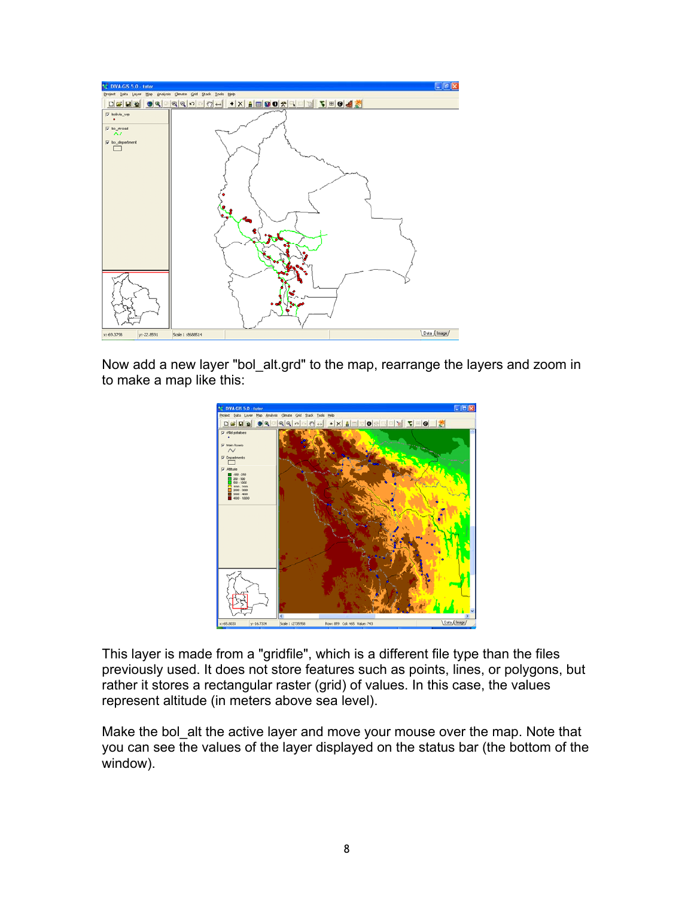

Now add a new layer "bol\_alt.grd" to the map, rearrange the layers and zoom in to make a map like this:



This layer is made from a "gridfile", which is a different file type than the files previously used. It does not store features such as points, lines, or polygons, but rather it stores a rectangular raster (grid) of values. In this case, the values represent altitude (in meters above sea level).

Make the bol\_alt the active layer and move your mouse over the map. Note that you can see the values of the layer displayed on the status bar (the bottom of the window).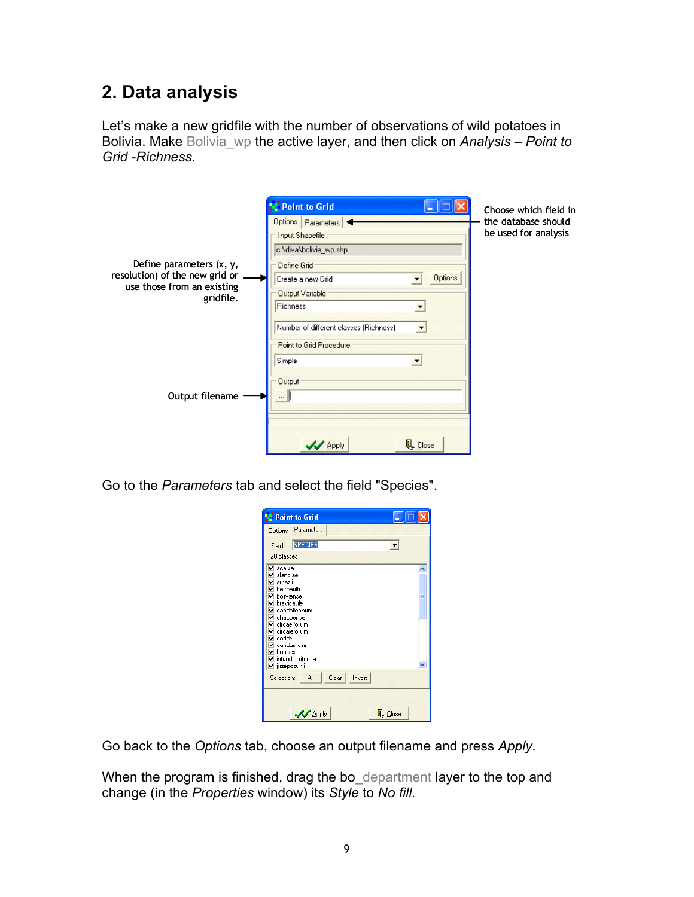## **2. Data analysis**

Let's make a new gridfile with the number of observations of wild potatoes in Bolivia. Make Bolivia\_wp the active layer, and then click on *Analysis – Point to Grid* -*Richness.* 

|                                                                                                       | Point to Grid                                                                                                                                                                                             |
|-------------------------------------------------------------------------------------------------------|-----------------------------------------------------------------------------------------------------------------------------------------------------------------------------------------------------------|
| Define parameters (x, y,<br>resolution) of the new grid or<br>use those from an existing<br>gridfile. | Options   Parameters  <br>Input Shapefile<br>c:\diva\bolivia_wp.shp<br>Define Grid<br>Options<br>Create a new Grid<br><b>Output Variable</b><br><b>Richness</b><br>Number of different classes (Richness) |
| Output filename                                                                                       | Point to Grid Procedure<br>Simple<br><b>Output</b><br>4 Close<br><b>V</b> Apply                                                                                                                           |

Choose which field in the database should be used for analysis

Go to the *Parameters* tab and select the field "Species".

| <b>Point to Grid</b>                                                                                                                                                                                                                                  |         |
|-------------------------------------------------------------------------------------------------------------------------------------------------------------------------------------------------------------------------------------------------------|---------|
| Options Parameters                                                                                                                                                                                                                                    |         |
| <b>SPECIES</b><br>Field:                                                                                                                                                                                                                              |         |
| 28 classes                                                                                                                                                                                                                                            |         |
| $\sqrt{ }$ acaule<br>⊻ alandiae<br>✔ amezii<br>✔ berthaultii<br>✔ boliviense<br>✔ brevicaule<br>✔ candolleanum<br>✔ chacoense<br>✔ circaeifolium<br>v circaiefolium<br>v doddsii<br>⊻ gandarillasii<br>⊻ ĥoopesii<br>nfundibuliforme<br>v juzepczukii |         |
| Clear<br>Invert<br>All<br>Selection:                                                                                                                                                                                                                  |         |
|                                                                                                                                                                                                                                                       |         |
| <b>V</b> Apply                                                                                                                                                                                                                                        | 4 Close |

Go back to the *Options* tab, choose an output filename and press *Apply*.

When the program is finished, drag the bo\_department layer to the top and change (in the *Properties* window) its *Style* to *No fill.*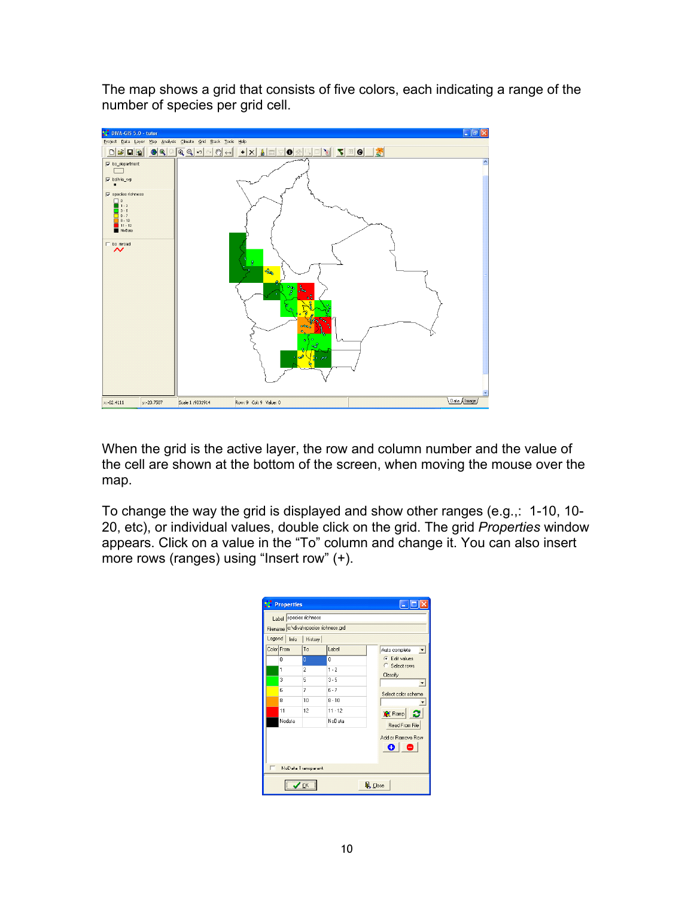The map shows a grid that consists of five colors, each indicating a range of the number of species per grid cell.



When the grid is the active layer, the row and column number and the value of the cell are shown at the bottom of the screen, when moving the mouse over the map.

To change the way the grid is displayed and show other ranges (e.g.,: 1-10, 10- 20, etc), or individual values, double click on the grid. The grid *Properties* window appears. Click on a value in the "To" column and change it. You can also insert more rows (ranges) using "Insert row" (+).

|   | <b>Properties</b>                                               |                                |                     |                                                  |  |  |  |
|---|-----------------------------------------------------------------|--------------------------------|---------------------|--------------------------------------------------|--|--|--|
|   | Label species richness<br>Filename c:\diva\species richness.grd |                                |                     |                                                  |  |  |  |
|   | Legend<br>Info<br>History                                       |                                |                     |                                                  |  |  |  |
|   | Color From                                                      | To                             | Label               | Auto complete                                    |  |  |  |
|   | 0<br>1                                                          | $\mathbf{0}$<br>$\overline{a}$ | O<br>$1 - 2$        | $\widehat{\bullet}$ Edit values<br>C Select rows |  |  |  |
|   | 3                                                               | 5                              | $3 - 5$             | Classify                                         |  |  |  |
|   | Ŕ                                                               | 7                              | $6 - 7$             | Select color scheme                              |  |  |  |
|   | 8                                                               | 10                             | $8 - 10$            |                                                  |  |  |  |
|   | 11<br>Nodata                                                    | 12                             | $11 - 12$<br>NoData | ø<br>Ramp<br>Read From File                      |  |  |  |
|   | Add or Remove Row<br>e.<br>-0                                   |                                |                     |                                                  |  |  |  |
| г | NoData Transparant                                              |                                |                     |                                                  |  |  |  |
|   | $\mathbb{Q}$ Close<br>OK                                        |                                |                     |                                                  |  |  |  |